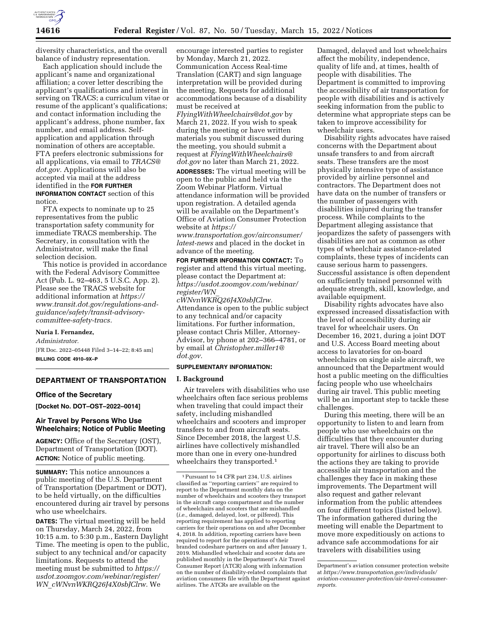

diversity characteristics, and the overall balance of industry representation.

Each application should include the applicant's name and organizational affiliation; a cover letter describing the applicant's qualifications and interest in serving on TRACS; a curriculum vitae or resume of the applicant's qualifications; and contact information including the applicant's address, phone number, fax number, and email address. Selfapplication and application through nomination of others are acceptable. FTA prefers electronic submissions for all applications, via email to *[TRACS@](mailto:TRACS@dot.gov) [dot.gov.](mailto:TRACS@dot.gov)* Applications will also be accepted via mail at the address identified in the **FOR FURTHER INFORMATION CONTACT** section of this notice.

FTA expects to nominate up to 25 representatives from the public transportation safety community for immediate TRACS membership. The Secretary, in consultation with the Administrator, will make the final selection decision.

This notice is provided in accordance with the Federal Advisory Committee Act (Pub. L. 92–463, 5 U.S.C. App. 2). Please see the TRACS website for additional information at *[https://](https://www.transit.dot.gov/regulations-and-guidance/safety/transit-advisory-committee-safety-tracs) [www.transit.dot.gov/regulations-and](https://www.transit.dot.gov/regulations-and-guidance/safety/transit-advisory-committee-safety-tracs)[guidance/safety/transit-advisory](https://www.transit.dot.gov/regulations-and-guidance/safety/transit-advisory-committee-safety-tracs)[committee-safety-tracs.](https://www.transit.dot.gov/regulations-and-guidance/safety/transit-advisory-committee-safety-tracs)* 

### **Nuria I. Fernandez,**

*Administrator.* 

[FR Doc. 2022–05448 Filed 3–14–22; 8:45 am] **BILLING CODE 4910–9X–P** 

### **DEPARTMENT OF TRANSPORTATION**

## **Office of the Secretary**

**[Docket No. DOT–OST–2022–0014]** 

## **Air Travel by Persons Who Use Wheelchairs; Notice of Public Meeting**

**AGENCY:** Office of the Secretary (OST), Department of Transportation (DOT). **ACTION:** Notice of public meeting.

**SUMMARY:** This notice announces a public meeting of the U.S. Department of Transportation (Department or DOT), to be held virtually, on the difficulties encountered during air travel by persons who use wheelchairs.

**DATES:** The virtual meeting will be held on Thursday, March 24, 2022, from 10:15 a.m. to 5:30 p.m., Eastern Daylight Time. The meeting is open to the public, subject to any technical and/or capacity limitations. Requests to attend the meeting must be submitted to *[https://](https://usdot.zoomgov.com/webinar/register/WN_cWNvnWKRQ26J4X0sbJClrw) [usdot.zoomgov.com/webinar/register/](https://usdot.zoomgov.com/webinar/register/WN_cWNvnWKRQ26J4X0sbJClrw) WN*\_*[cWNvnWKRQ26J4X0sbJClrw.](https://usdot.zoomgov.com/webinar/register/WN_cWNvnWKRQ26J4X0sbJClrw)* We

encourage interested parties to register by Monday, March 21, 2022. Communication Access Real-time Translation (CART) and sign language interpretation will be provided during the meeting. Requests for additional accommodations because of a disability must be received at

*[FlyingWithWheelchairs@dot.gov](mailto:FlyingWithWheelchairs@dot.gov)* by March 21, 2022. If you wish to speak during the meeting or have written materials you submit discussed during the meeting, you should submit a request at *[FlyingWithWheelchairs@](mailto:FlyingWithWheelchairs@dot.gov) [dot.gov](mailto:FlyingWithWheelchairs@dot.gov)* no later than March 21, 2022.

**ADDRESSES:** The virtual meeting will be open to the public and held via the Zoom Webinar Platform. Virtual attendance information will be provided upon registration. A detailed agenda will be available on the Department's Office of Aviation Consumer Protection website at *[https://](https://www.transportation.gov/airconsumer/latest-news)*

*[www.transportation.gov/airconsumer/](https://www.transportation.gov/airconsumer/latest-news)  [latest-news](https://www.transportation.gov/airconsumer/latest-news)* and placed in the docket in advance of the meeting.

**FOR FURTHER INFORMATION CONTACT:** To register and attend this virtual meeting, please contact the Department at: *[https://usdot.zoomgov.com/webinar/](https://usdot.zoomgov.com/webinar/register/WN_cWNvnWKRQ26J4X0sbJClrw)  [register/WN](https://usdot.zoomgov.com/webinar/register/WN_cWNvnWKRQ26J4X0sbJClrw)*\_

*[cWNvnWKRQ26J4X0sbJClrw.](https://usdot.zoomgov.com/webinar/register/WN_cWNvnWKRQ26J4X0sbJClrw)*  Attendance is open to the public subject to any technical and/or capacity limitations. For further information, please contact Chris Miller, Attorney-Advisor, by phone at 202–366–4781, or by email at *[Christopher.miller1@](mailto:Christopher.miller1@dot.gov) [dot.gov.](mailto:Christopher.miller1@dot.gov)* 

# **SUPPLEMENTARY INFORMATION:**

### **I. Background**

Air travelers with disabilities who use wheelchairs often face serious problems when traveling that could impact their safety, including mishandled wheelchairs and scooters and improper transfers to and from aircraft seats. Since December 2018, the largest U.S. airlines have collectively mishandled more than one in every one-hundred wheelchairs they transported.<sup>1</sup>

Damaged, delayed and lost wheelchairs affect the mobility, independence, quality of life and, at times, health of people with disabilities. The Department is committed to improving the accessibility of air transportation for people with disabilities and is actively seeking information from the public to determine what appropriate steps can be taken to improve accessibility for wheelchair users.

Disability rights advocates have raised concerns with the Department about unsafe transfers to and from aircraft seats. These transfers are the most physically intensive type of assistance provided by airline personnel and contractors. The Department does not have data on the number of transfers or the number of passengers with disabilities injured during the transfer process. While complaints to the Department alleging assistance that jeopardizes the safety of passengers with disabilities are not as common as other types of wheelchair assistance-related complaints, these types of incidents can cause serious harm to passengers. Successful assistance is often dependent on sufficiently trained personnel with adequate strength, skill, knowledge, and available equipment.

Disability rights advocates have also expressed increased dissatisfaction with the level of accessibility during air travel for wheelchair users. On December 16, 2021, during a joint DOT and U.S. Access Board meeting about access to lavatories for on-board wheelchairs on single aisle aircraft, we announced that the Department would host a public meeting on the difficulties facing people who use wheelchairs during air travel. This public meeting will be an important step to tackle these challenges.

During this meeting, there will be an opportunity to listen to and learn from people who use wheelchairs on the difficulties that they encounter during air travel. There will also be an opportunity for airlines to discuss both the actions they are taking to provide accessible air transportation and the challenges they face in making these improvements. The Department will also request and gather relevant information from the public attendees on four different topics (listed below). The information gathered during the meeting will enable the Department to move more expeditiously on actions to advance safe accommodations for air travelers with disabilities using

<sup>1</sup>Pursuant to 14 CFR part 234, U.S. airlines classified as ''reporting carriers'' are required to report to the Department monthly data on the number of wheelchairs and scooters they transport in the aircraft cargo compartment and the number of wheelchairs and scooters that are mishandled (*i.e.,* damaged, delayed, lost, or pilfered). This reporting requirement has applied to reporting carriers for their operations on and after December 4, 2018. In addition, reporting carriers have been required to report for the operations of their branded codeshare partners on and after January 1, 2019. Mishandled wheelchair and scooter data are published monthly in the Department's Air Travel Consumer Report (ATCR) along with information on the number of disability-related complaints that aviation consumers file with the Department against airlines. The ATCRs are available on the

Department's aviation consumer protection website at *[https://www.transportation.gov/individuals/](https://www.transportation.gov/individuals/aviation-consumer-protection/air-travel-consumer-reports)  [aviation-consumer-protection/air-travel-consumer](https://www.transportation.gov/individuals/aviation-consumer-protection/air-travel-consumer-reports)[reports.](https://www.transportation.gov/individuals/aviation-consumer-protection/air-travel-consumer-reports)*